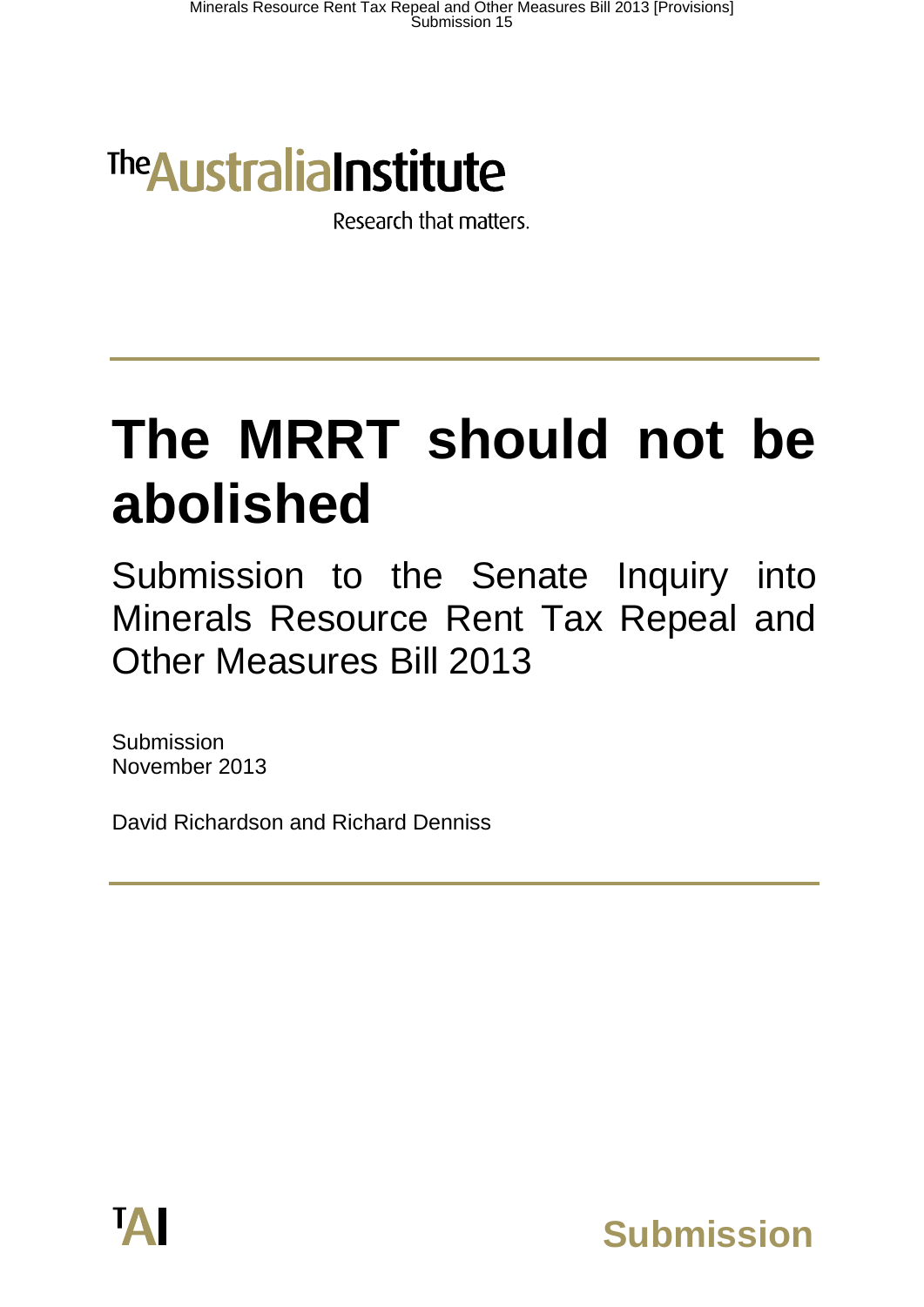# **The Australia Institute**

Research that matters.

# **The MRRT should not be abolished**

Submission to the Senate Inquiry into Minerals Resource Rent Tax Repeal and Other Measures Bill 2013

Submission November 2013

David Richardson and Richard Denniss



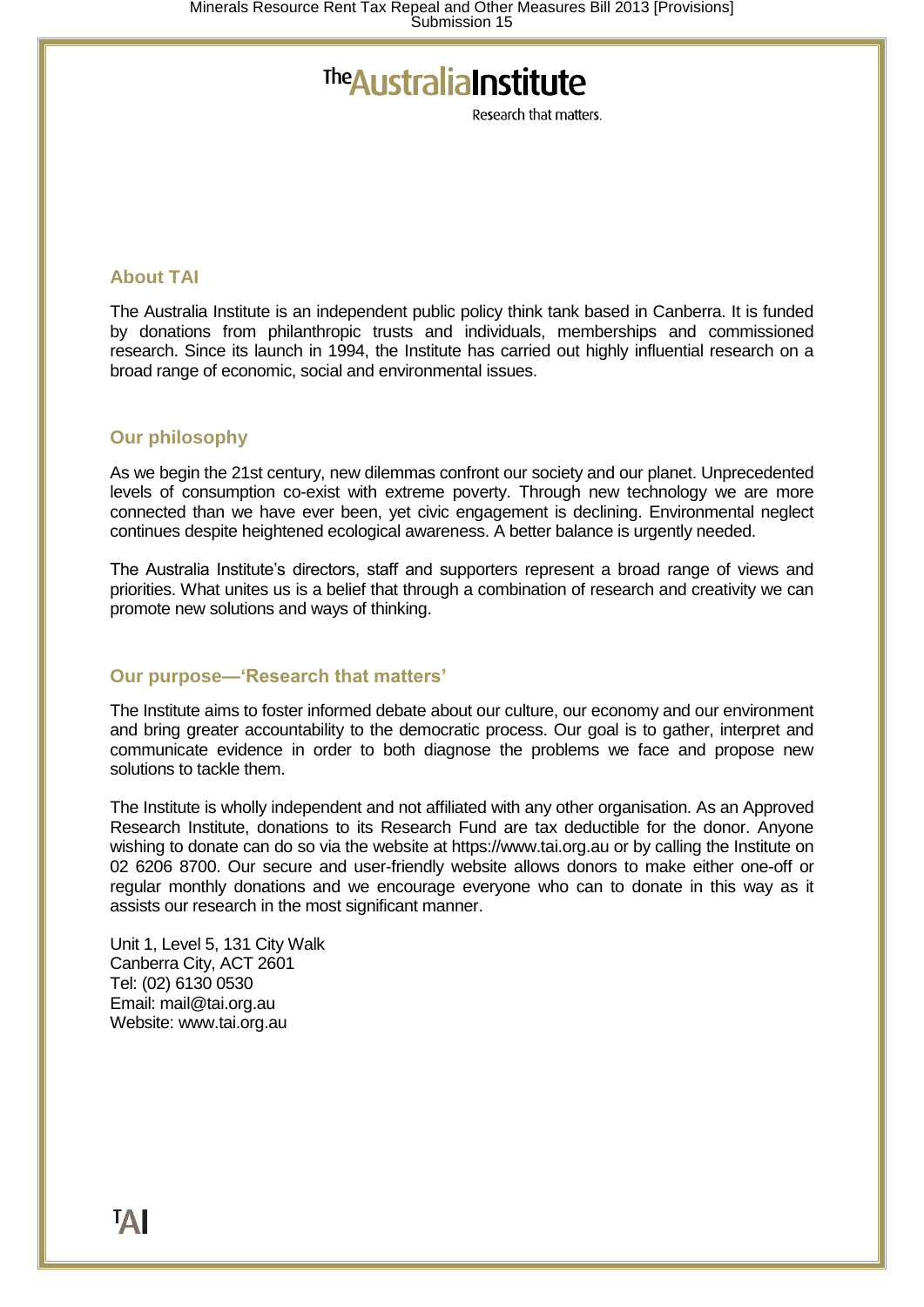# The Australia Institute

Research that matters

#### **About TAI**

The Australia Institute is an independent public policy think tank based in Canberra. It is funded by donations from philanthropic trusts and individuals, memberships and commissioned research. Since its launch in 1994, the Institute has carried out highly influential research on a broad range of economic, social and environmental issues.

#### **Our philosophy**

As we begin the 21st century, new dilemmas confront our society and our planet. Unprecedented levels of consumption co-exist with extreme poverty. Through new technology we are more connected than we have ever been, yet civic engagement is declining. Environmental neglect continues despite heightened ecological awareness. A better balance is urgently needed.

The Australia Institute's directors, staff and supporters represent a broad range of views and priorities. What unites us is a belief that through a combination of research and creativity we can promote new solutions and ways of thinking.

#### **Our purpose—'Research that matters'**

The Institute aims to foster informed debate about our culture, our economy and our environment and bring greater accountability to the democratic process. Our goal is to gather, interpret and communicate evidence in order to both diagnose the problems we face and propose new solutions to tackle them.

The Institute is wholly independent and not affiliated with any other organisation. As an Approved Research Institute, donations to its Research Fund are tax deductible for the donor. Anyone wishing to donate can do so via the website at https://www.tai.org.au or by calling the Institute on 02 6206 8700. Our secure and user-friendly website allows donors to make either one-off or regular monthly donations and we encourage everyone who can to donate in this way as it assists our research in the most significant manner.

Unit 1, Level 5, 131 City Walk Canberra City, ACT 2601 Tel: (02) 6130 0530 Email: mail@tai.org.au Website: www.tai.org.au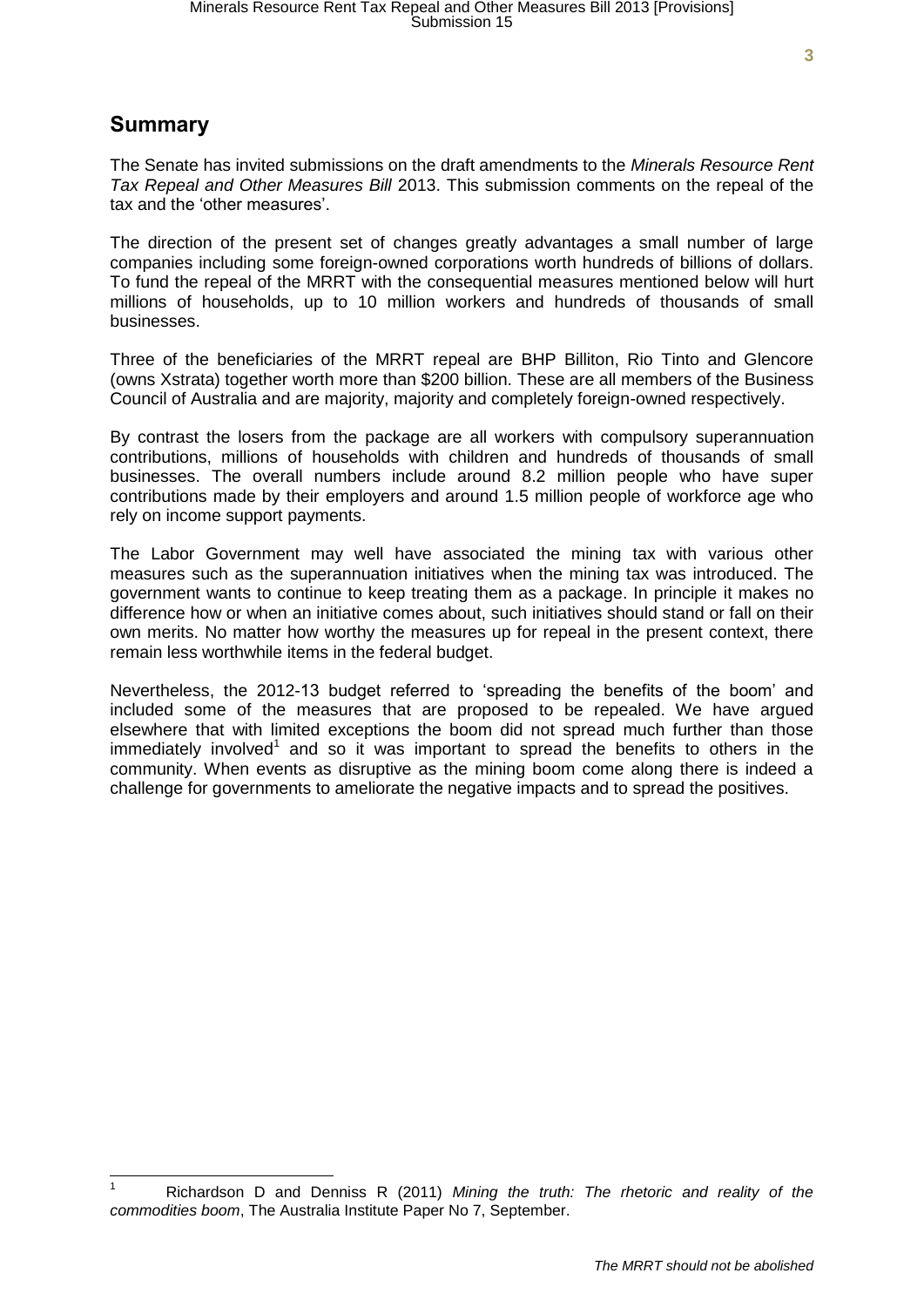The Senate has invited submissions on the draft amendments to the *Minerals Resource Rent Tax Repeal and Other Measures Bill* 2013. This submission comments on the repeal of the tax and the 'other measures'.

The direction of the present set of changes greatly advantages a small number of large companies including some foreign-owned corporations worth hundreds of billions of dollars. To fund the repeal of the MRRT with the consequential measures mentioned below will hurt millions of households, up to 10 million workers and hundreds of thousands of small businesses.

Three of the beneficiaries of the MRRT repeal are BHP Billiton, Rio Tinto and Glencore (owns Xstrata) together worth more than \$200 billion. These are all members of the Business Council of Australia and are majority, majority and completely foreign-owned respectively.

By contrast the losers from the package are all workers with compulsory superannuation contributions, millions of households with children and hundreds of thousands of small businesses. The overall numbers include around 8.2 million people who have super contributions made by their employers and around 1.5 million people of workforce age who rely on income support payments.

The Labor Government may well have associated the mining tax with various other measures such as the superannuation initiatives when the mining tax was introduced. The government wants to continue to keep treating them as a package. In principle it makes no difference how or when an initiative comes about, such initiatives should stand or fall on their own merits. No matter how worthy the measures up for repeal in the present context, there remain less worthwhile items in the federal budget.

Nevertheless, the 2012-13 budget referred to 'spreading the benefits of the boom' and included some of the measures that are proposed to be repealed. We have argued elsewhere that with limited exceptions the boom did not spread much further than those immediately involved<sup>1</sup> and so it was important to spread the benefits to others in the community. When events as disruptive as the mining boom come along there is indeed a challenge for governments to ameliorate the negative impacts and to spread the positives.

<sup>1</sup> Richardson D and Denniss R (2011) *Mining the truth: The rhetoric and reality of the commodities boom*, The Australia Institute Paper No 7, September.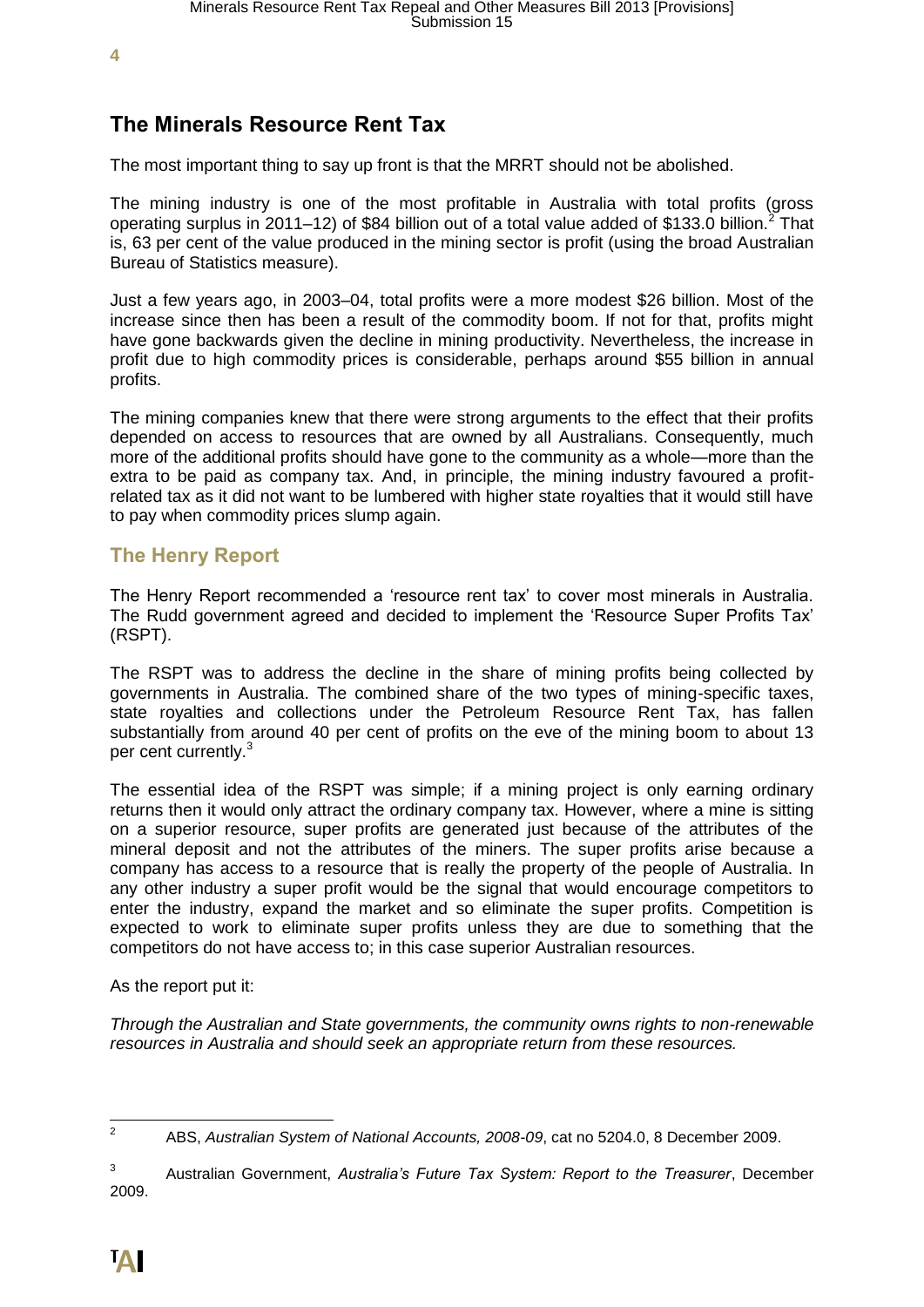# **The Minerals Resource Rent Tax**

The most important thing to say up front is that the MRRT should not be abolished.

The mining industry is one of the most profitable in Australia with total profits (gross operating surplus in 2011–12) of \$84 billion out of a total value added of \$133.0 billion.<sup>2</sup> That is, 63 per cent of the value produced in the mining sector is profit (using the broad Australian Bureau of Statistics measure).

Just a few years ago, in 2003–04, total profits were a more modest \$26 billion. Most of the increase since then has been a result of the commodity boom. If not for that, profits might have gone backwards given the decline in mining productivity. Nevertheless, the increase in profit due to high commodity prices is considerable, perhaps around \$55 billion in annual profits.

The mining companies knew that there were strong arguments to the effect that their profits depended on access to resources that are owned by all Australians. Consequently, much more of the additional profits should have gone to the community as a whole—more than the extra to be paid as company tax. And, in principle, the mining industry favoured a profitrelated tax as it did not want to be lumbered with higher state royalties that it would still have to pay when commodity prices slump again.

#### **The Henry Report**

The Henry Report recommended a 'resource rent tax' to cover most minerals in Australia. The Rudd government agreed and decided to implement the 'Resource Super Profits Tax' (RSPT).

The RSPT was to address the decline in the share of mining profits being collected by governments in Australia. The combined share of the two types of mining-specific taxes, state royalties and collections under the Petroleum Resource Rent Tax, has fallen substantially from around 40 per cent of profits on the eve of the mining boom to about 13 per cent currently.<sup>3</sup>

The essential idea of the RSPT was simple; if a mining project is only earning ordinary returns then it would only attract the ordinary company tax. However, where a mine is sitting on a superior resource, super profits are generated just because of the attributes of the mineral deposit and not the attributes of the miners. The super profits arise because a company has access to a resource that is really the property of the people of Australia. In any other industry a super profit would be the signal that would encourage competitors to enter the industry, expand the market and so eliminate the super profits. Competition is expected to work to eliminate super profits unless they are due to something that the competitors do not have access to; in this case superior Australian resources.

As the report put it:

*Through the Australian and State governments, the community owns rights to non-renewable resources in Australia and should seek an appropriate return from these resources.*

 $\frac{1}{2}$ ABS, *Australian System of National Accounts, 2008-09*, cat no 5204.0, 8 December 2009.

<sup>3</sup> Australian Government, *Australia's Future Tax System: Report to the Treasurer*, December 2009.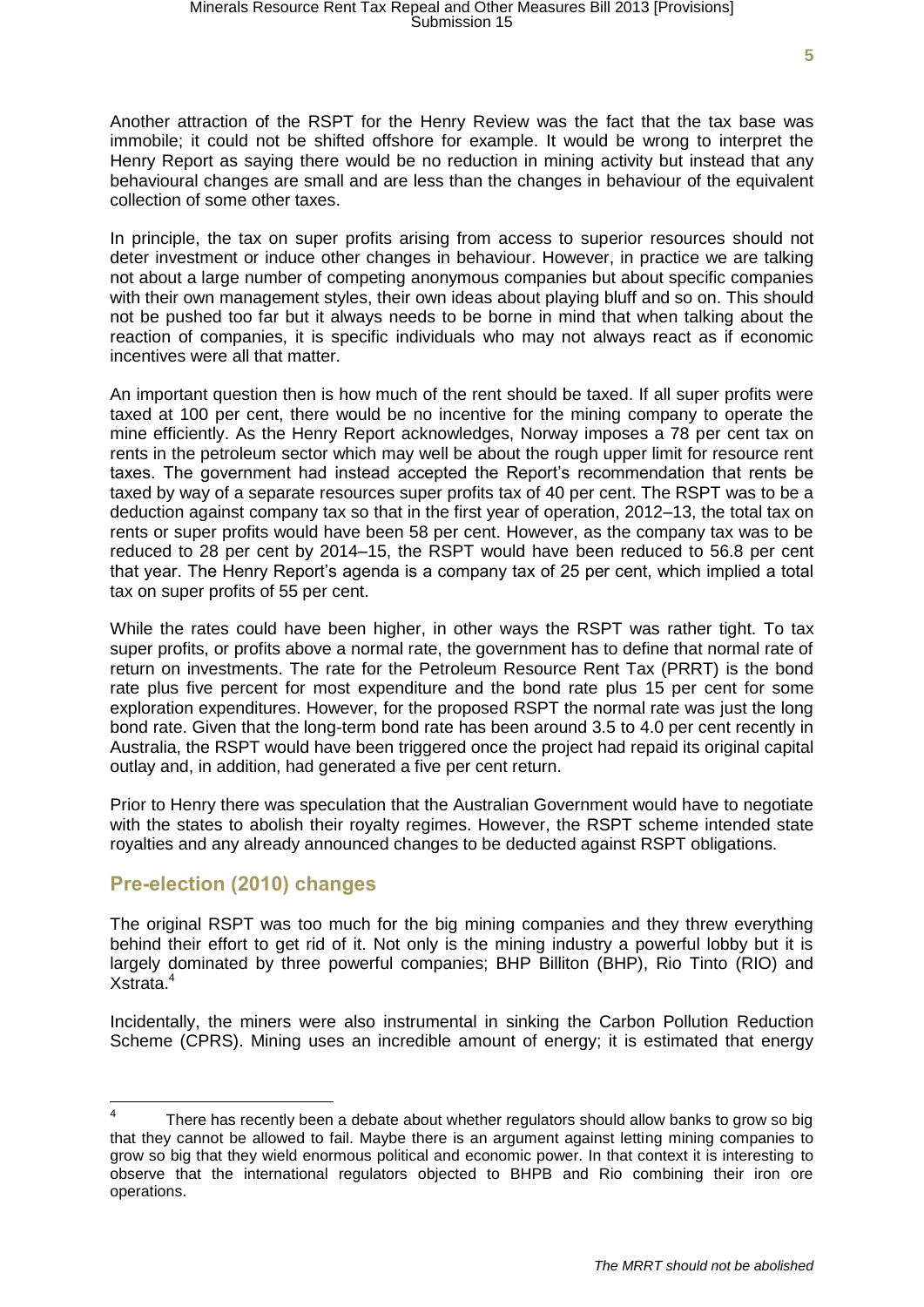Another attraction of the RSPT for the Henry Review was the fact that the tax base was immobile; it could not be shifted offshore for example. It would be wrong to interpret the Henry Report as saying there would be no reduction in mining activity but instead that any behavioural changes are small and are less than the changes in behaviour of the equivalent collection of some other taxes.

In principle, the tax on super profits arising from access to superior resources should not deter investment or induce other changes in behaviour. However, in practice we are talking not about a large number of competing anonymous companies but about specific companies with their own management styles, their own ideas about playing bluff and so on. This should not be pushed too far but it always needs to be borne in mind that when talking about the reaction of companies, it is specific individuals who may not always react as if economic incentives were all that matter.

An important question then is how much of the rent should be taxed. If all super profits were taxed at 100 per cent, there would be no incentive for the mining company to operate the mine efficiently. As the Henry Report acknowledges, Norway imposes a 78 per cent tax on rents in the petroleum sector which may well be about the rough upper limit for resource rent taxes. The government had instead accepted the Report's recommendation that rents be taxed by way of a separate resources super profits tax of 40 per cent. The RSPT was to be a deduction against company tax so that in the first year of operation, 2012–13, the total tax on rents or super profits would have been 58 per cent. However, as the company tax was to be reduced to 28 per cent by 2014–15, the RSPT would have been reduced to 56.8 per cent that year. The Henry Report's agenda is a company tax of 25 per cent, which implied a total tax on super profits of 55 per cent.

While the rates could have been higher, in other ways the RSPT was rather tight. To tax super profits, or profits above a normal rate, the government has to define that normal rate of return on investments. The rate for the Petroleum Resource Rent Tax (PRRT) is the bond rate plus five percent for most expenditure and the bond rate plus 15 per cent for some exploration expenditures. However, for the proposed RSPT the normal rate was just the long bond rate. Given that the long-term bond rate has been around 3.5 to 4.0 per cent recently in Australia, the RSPT would have been triggered once the project had repaid its original capital outlay and, in addition, had generated a five per cent return.

Prior to Henry there was speculation that the Australian Government would have to negotiate with the states to abolish their royalty regimes. However, the RSPT scheme intended state royalties and any already announced changes to be deducted against RSPT obligations.

#### **Pre-election (2010) changes**

The original RSPT was too much for the big mining companies and they threw everything behind their effort to get rid of it. Not only is the mining industry a powerful lobby but it is largely dominated by three powerful companies; BHP Billiton (BHP), Rio Tinto (RIO) and Xstrata.<sup>4</sup>

Incidentally, the miners were also instrumental in sinking the Carbon Pollution Reduction Scheme (CPRS). Mining uses an incredible amount of energy; it is estimated that energy

 4 There has recently been a debate about whether regulators should allow banks to grow so big that they cannot be allowed to fail. Maybe there is an argument against letting mining companies to grow so big that they wield enormous political and economic power. In that context it is interesting to observe that the international regulators objected to BHPB and Rio combining their iron ore operations.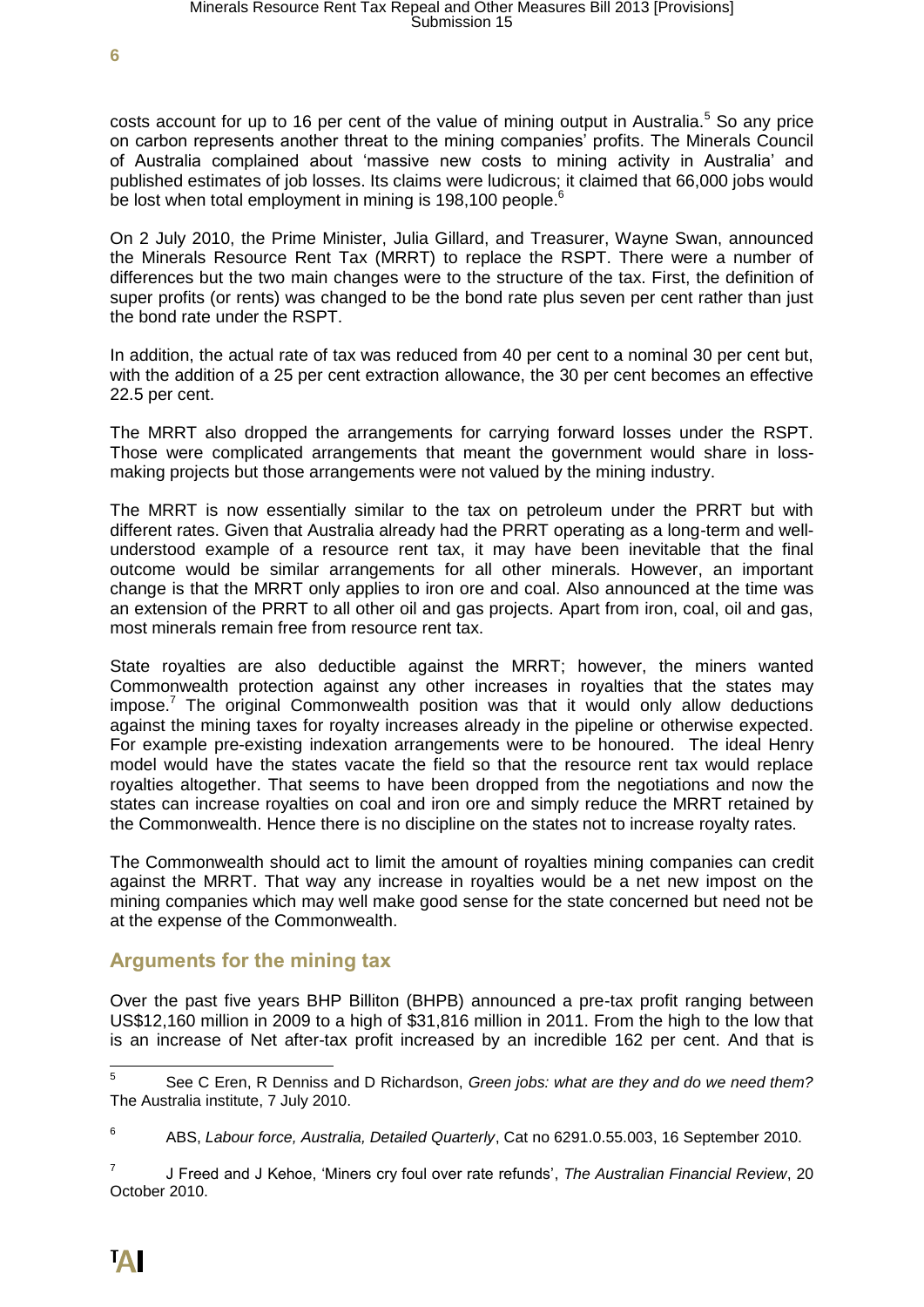costs account for up to 16 per cent of the value of mining output in Australia.<sup>5</sup> So any price on carbon represents another threat to the mining companies' profits. The Minerals Council of Australia complained about 'massive new costs to mining activity in Australia' and published estimates of job losses. Its claims were ludicrous; it claimed that 66,000 jobs would be lost when total employment in mining is 198,100 people.<sup>6</sup>

On 2 July 2010, the Prime Minister, Julia Gillard, and Treasurer, Wayne Swan, announced the Minerals Resource Rent Tax (MRRT) to replace the RSPT. There were a number of differences but the two main changes were to the structure of the tax. First, the definition of super profits (or rents) was changed to be the bond rate plus seven per cent rather than just the bond rate under the RSPT.

In addition, the actual rate of tax was reduced from 40 per cent to a nominal 30 per cent but, with the addition of a 25 per cent extraction allowance, the 30 per cent becomes an effective 22.5 per cent.

The MRRT also dropped the arrangements for carrying forward losses under the RSPT. Those were complicated arrangements that meant the government would share in lossmaking projects but those arrangements were not valued by the mining industry.

The MRRT is now essentially similar to the tax on petroleum under the PRRT but with different rates. Given that Australia already had the PRRT operating as a long-term and wellunderstood example of a resource rent tax, it may have been inevitable that the final outcome would be similar arrangements for all other minerals. However, an important change is that the MRRT only applies to iron ore and coal. Also announced at the time was an extension of the PRRT to all other oil and gas projects. Apart from iron, coal, oil and gas, most minerals remain free from resource rent tax.

State royalties are also deductible against the MRRT; however, the miners wanted Commonwealth protection against any other increases in royalties that the states may impose.<sup>7</sup> The original Commonwealth position was that it would only allow deductions against the mining taxes for royalty increases already in the pipeline or otherwise expected. For example pre-existing indexation arrangements were to be honoured. The ideal Henry model would have the states vacate the field so that the resource rent tax would replace royalties altogether. That seems to have been dropped from the negotiations and now the states can increase royalties on coal and iron ore and simply reduce the MRRT retained by the Commonwealth. Hence there is no discipline on the states not to increase royalty rates.

The Commonwealth should act to limit the amount of royalties mining companies can credit against the MRRT. That way any increase in royalties would be a net new impost on the mining companies which may well make good sense for the state concerned but need not be at the expense of the Commonwealth.

## **Arguments for the mining tax**

Over the past five years BHP Billiton (BHPB) announced a pre-tax profit ranging between US\$12,160 million in 2009 to a high of \$31,816 million in 2011. From the high to the low that is an increase of Net after-tax profit increased by an incredible 162 per cent. And that is

<sup>—&</sup>lt;br>5 See C Eren, R Denniss and D Richardson, *Green jobs: what are they and do we need them?* The Australia institute, 7 July 2010.

<sup>6</sup> ABS, *Labour force, Australia, Detailed Quarterly*, Cat no 6291.0.55.003, 16 September 2010.

<sup>7</sup> J Freed and J Kehoe, 'Miners cry foul over rate refunds', *The Australian Financial Review*, 20 October 2010.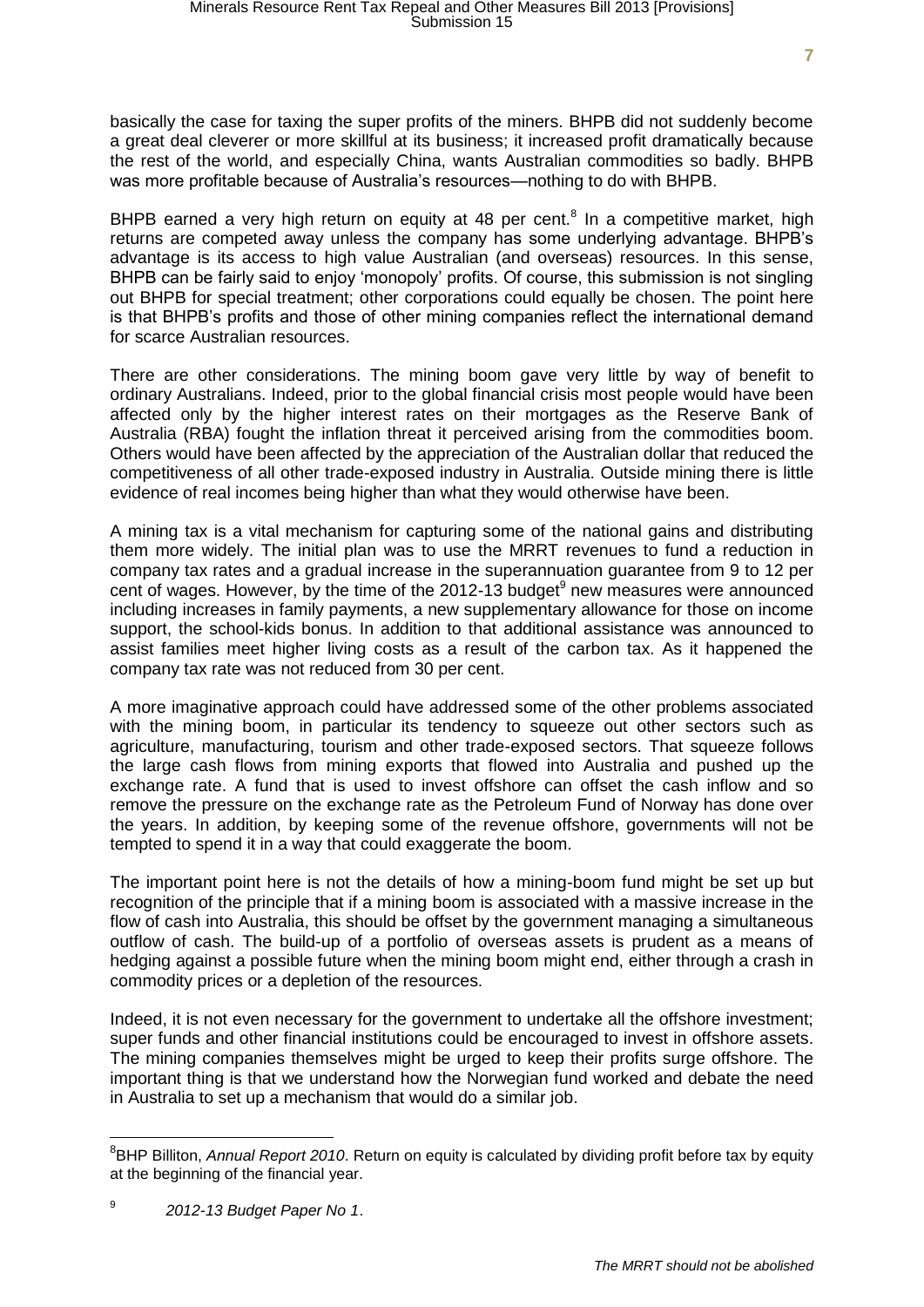basically the case for taxing the super profits of the miners. BHPB did not suddenly become a great deal cleverer or more skillful at its business; it increased profit dramatically because the rest of the world, and especially China, wants Australian commodities so badly. BHPB was more profitable because of Australia's resources—nothing to do with BHPB.

BHPB earned a very high return on equity at 48 per cent.<sup>8</sup> In a competitive market, high returns are competed away unless the company has some underlying advantage. BHPB's advantage is its access to high value Australian (and overseas) resources. In this sense, BHPB can be fairly said to enjoy 'monopoly' profits. Of course, this submission is not singling out BHPB for special treatment; other corporations could equally be chosen. The point here is that BHPB's profits and those of other mining companies reflect the international demand for scarce Australian resources.

There are other considerations. The mining boom gave very little by way of benefit to ordinary Australians. Indeed, prior to the global financial crisis most people would have been affected only by the higher interest rates on their mortgages as the Reserve Bank of Australia (RBA) fought the inflation threat it perceived arising from the commodities boom. Others would have been affected by the appreciation of the Australian dollar that reduced the competitiveness of all other trade-exposed industry in Australia. Outside mining there is little evidence of real incomes being higher than what they would otherwise have been.

A mining tax is a vital mechanism for capturing some of the national gains and distributing them more widely. The initial plan was to use the MRRT revenues to fund a reduction in company tax rates and a gradual increase in the superannuation guarantee from 9 to 12 per cent of wages. However, by the time of the 2012-13 budget $9$  new measures were announced including increases in family payments, a new supplementary allowance for those on income support, the school-kids bonus. In addition to that additional assistance was announced to assist families meet higher living costs as a result of the carbon tax. As it happened the company tax rate was not reduced from 30 per cent.

A more imaginative approach could have addressed some of the other problems associated with the mining boom, in particular its tendency to squeeze out other sectors such as agriculture, manufacturing, tourism and other trade-exposed sectors. That squeeze follows the large cash flows from mining exports that flowed into Australia and pushed up the exchange rate. A fund that is used to invest offshore can offset the cash inflow and so remove the pressure on the exchange rate as the Petroleum Fund of Norway has done over the years. In addition, by keeping some of the revenue offshore, governments will not be tempted to spend it in a way that could exaggerate the boom.

The important point here is not the details of how a mining-boom fund might be set up but recognition of the principle that if a mining boom is associated with a massive increase in the flow of cash into Australia, this should be offset by the government managing a simultaneous outflow of cash. The build-up of a portfolio of overseas assets is prudent as a means of hedging against a possible future when the mining boom might end, either through a crash in commodity prices or a depletion of the resources.

Indeed, it is not even necessary for the government to undertake all the offshore investment; super funds and other financial institutions could be encouraged to invest in offshore assets. The mining companies themselves might be urged to keep their profits surge offshore. The important thing is that we understand how the Norwegian fund worked and debate the need in Australia to set up a mechanism that would do a similar job.

<sup>8</sup> BHP Billiton, *Annual Report 2010*. Return on equity is calculated by dividing profit before tax by equity at the beginning of the financial year.

<sup>9</sup> *2012-13 Budget Paper No 1*.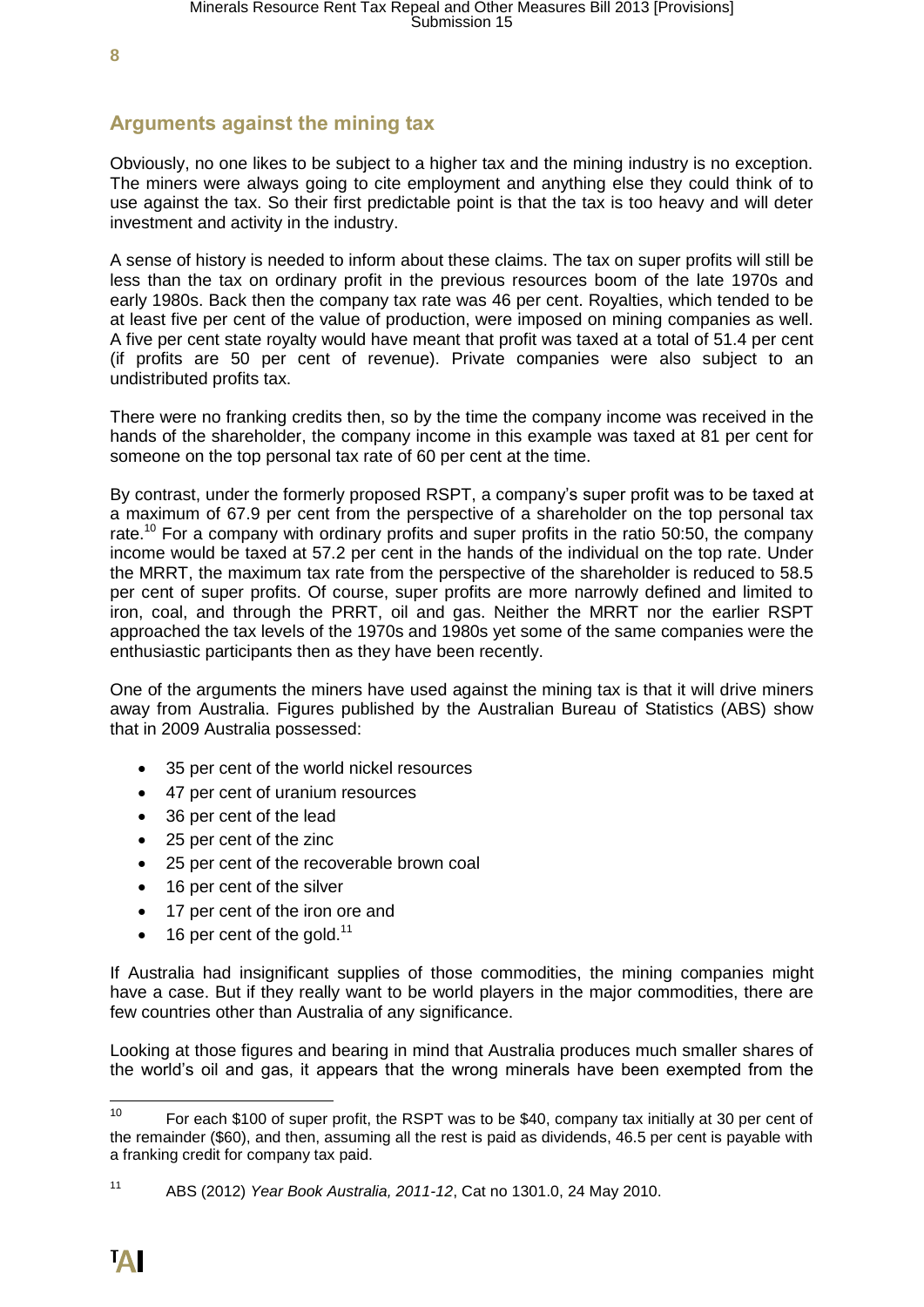# **Arguments against the mining tax**

Obviously, no one likes to be subject to a higher tax and the mining industry is no exception. The miners were always going to cite employment and anything else they could think of to use against the tax. So their first predictable point is that the tax is too heavy and will deter investment and activity in the industry.

A sense of history is needed to inform about these claims. The tax on super profits will still be less than the tax on ordinary profit in the previous resources boom of the late 1970s and early 1980s. Back then the company tax rate was 46 per cent. Royalties, which tended to be at least five per cent of the value of production, were imposed on mining companies as well. A five per cent state royalty would have meant that profit was taxed at a total of 51.4 per cent (if profits are 50 per cent of revenue). Private companies were also subject to an undistributed profits tax.

There were no franking credits then, so by the time the company income was received in the hands of the shareholder, the company income in this example was taxed at 81 per cent for someone on the top personal tax rate of 60 per cent at the time.

By contrast, under the formerly proposed RSPT, a company's super profit was to be taxed at a maximum of 67.9 per cent from the perspective of a shareholder on the top personal tax rate.<sup>10</sup> For a company with ordinary profits and super profits in the ratio 50:50, the company income would be taxed at 57.2 per cent in the hands of the individual on the top rate. Under the MRRT, the maximum tax rate from the perspective of the shareholder is reduced to 58.5 per cent of super profits. Of course, super profits are more narrowly defined and limited to iron, coal, and through the PRRT, oil and gas. Neither the MRRT nor the earlier RSPT approached the tax levels of the 1970s and 1980s yet some of the same companies were the enthusiastic participants then as they have been recently.

One of the arguments the miners have used against the mining tax is that it will drive miners away from Australia. Figures published by the Australian Bureau of Statistics (ABS) show that in 2009 Australia possessed:

- 35 per cent of the world nickel resources
- 47 per cent of uranium resources
- 36 per cent of the lead
- 25 per cent of the zinc
- 25 per cent of the recoverable brown coal
- 16 per cent of the silver
- 17 per cent of the iron ore and
- $\bullet$  16 per cent of the gold.<sup>11</sup>

If Australia had insignificant supplies of those commodities, the mining companies might have a case. But if they really want to be world players in the major commodities, there are few countries other than Australia of any significance.

Looking at those figures and bearing in mind that Australia produces much smaller shares of the world's oil and gas, it appears that the wrong minerals have been exempted from the

 $10$ For each \$100 of super profit, the RSPT was to be \$40, company tax initially at 30 per cent of the remainder (\$60), and then, assuming all the rest is paid as dividends, 46.5 per cent is payable with a franking credit for company tax paid.

<sup>11</sup> ABS (2012) *Year Book Australia, 2011-12*, Cat no 1301.0, 24 May 2010.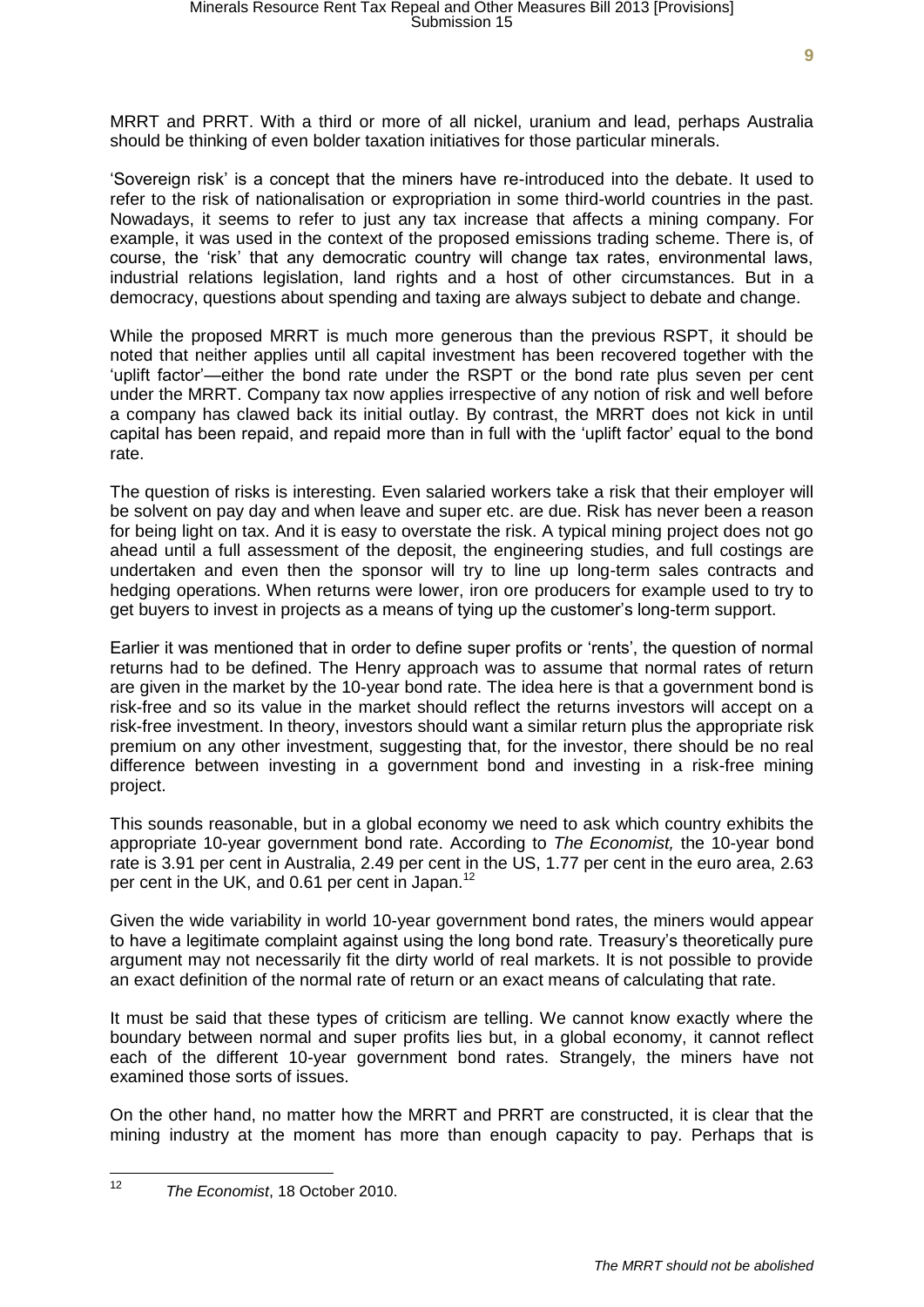MRRT and PRRT. With a third or more of all nickel, uranium and lead, perhaps Australia should be thinking of even bolder taxation initiatives for those particular minerals.

'Sovereign risk' is a concept that the miners have re-introduced into the debate. It used to refer to the risk of nationalisation or expropriation in some third-world countries in the past. Nowadays, it seems to refer to just any tax increase that affects a mining company. For example, it was used in the context of the proposed emissions trading scheme. There is, of course, the 'risk' that any democratic country will change tax rates, environmental laws, industrial relations legislation, land rights and a host of other circumstances. But in a democracy, questions about spending and taxing are always subject to debate and change.

While the proposed MRRT is much more generous than the previous RSPT, it should be noted that neither applies until all capital investment has been recovered together with the 'uplift factor'—either the bond rate under the RSPT or the bond rate plus seven per cent under the MRRT. Company tax now applies irrespective of any notion of risk and well before a company has clawed back its initial outlay. By contrast, the MRRT does not kick in until capital has been repaid, and repaid more than in full with the 'uplift factor' equal to the bond rate.

The question of risks is interesting. Even salaried workers take a risk that their employer will be solvent on pay day and when leave and super etc. are due. Risk has never been a reason for being light on tax. And it is easy to overstate the risk. A typical mining project does not go ahead until a full assessment of the deposit, the engineering studies, and full costings are undertaken and even then the sponsor will try to line up long-term sales contracts and hedging operations. When returns were lower, iron ore producers for example used to try to get buyers to invest in projects as a means of tying up the customer's long-term support.

Earlier it was mentioned that in order to define super profits or 'rents', the question of normal returns had to be defined. The Henry approach was to assume that normal rates of return are given in the market by the 10-year bond rate. The idea here is that a government bond is risk-free and so its value in the market should reflect the returns investors will accept on a risk-free investment. In theory, investors should want a similar return plus the appropriate risk premium on any other investment, suggesting that, for the investor, there should be no real difference between investing in a government bond and investing in a risk-free mining project.

This sounds reasonable, but in a global economy we need to ask which country exhibits the appropriate 10-year government bond rate. According to *The Economist,* the 10-year bond rate is 3.91 per cent in Australia, 2.49 per cent in the US, 1.77 per cent in the euro area, 2.63 per cent in the UK, and 0.61 per cent in Japan.<sup>12</sup>

Given the wide variability in world 10-year government bond rates, the miners would appear to have a legitimate complaint against using the long bond rate. Treasury's theoretically pure argument may not necessarily fit the dirty world of real markets. It is not possible to provide an exact definition of the normal rate of return or an exact means of calculating that rate.

It must be said that these types of criticism are telling. We cannot know exactly where the boundary between normal and super profits lies but, in a global economy, it cannot reflect each of the different 10-year government bond rates. Strangely, the miners have not examined those sorts of issues.

On the other hand, no matter how the MRRT and PRRT are constructed, it is clear that the mining industry at the moment has more than enough capacity to pay. Perhaps that is

 $12$ <sup>12</sup> *The Economist*, 18 October 2010.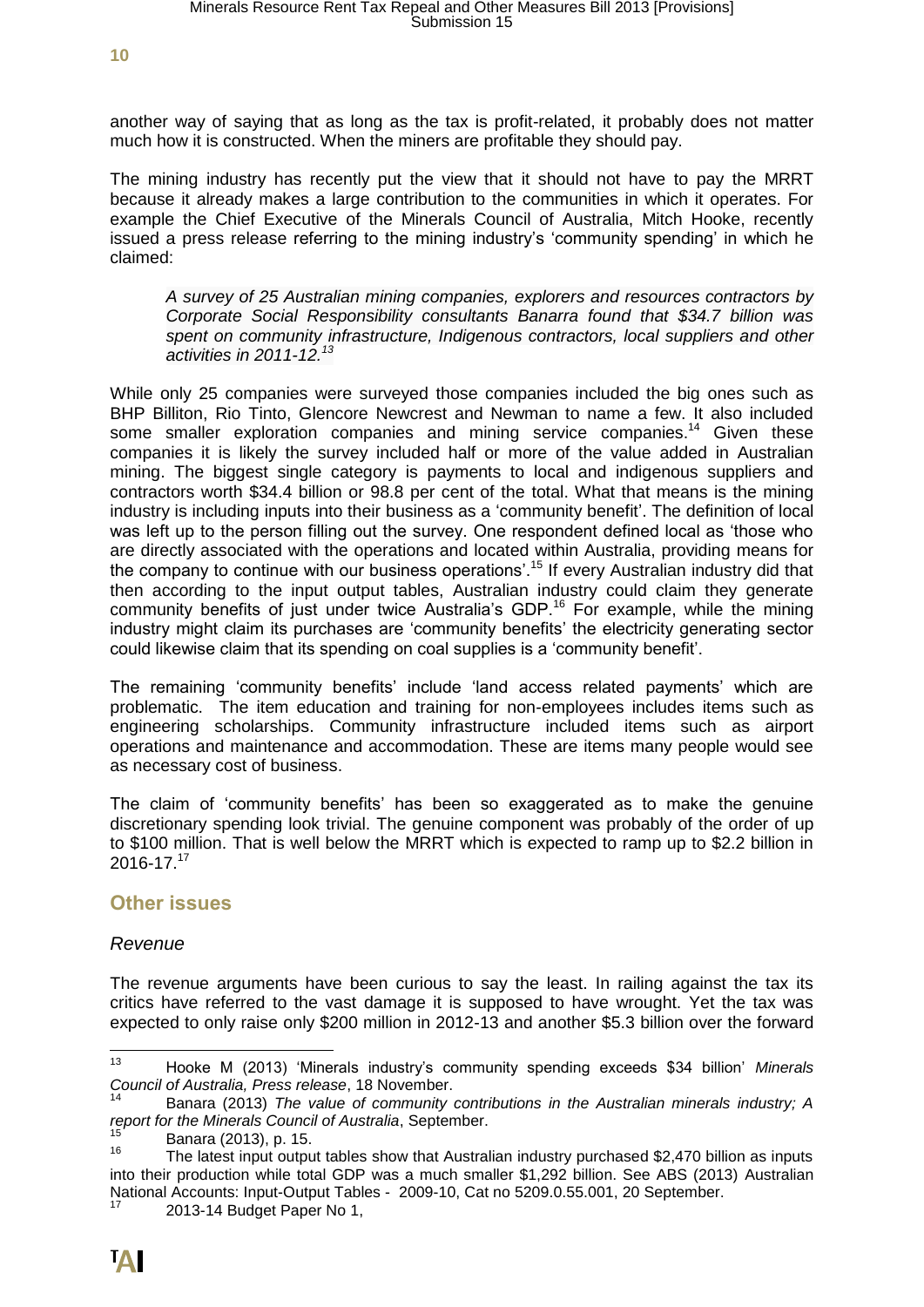another way of saying that as long as the tax is profit-related, it probably does not matter much how it is constructed. When the miners are profitable they should pay.

The mining industry has recently put the view that it should not have to pay the MRRT because it already makes a large contribution to the communities in which it operates. For example the Chief Executive of the Minerals Council of Australia, Mitch Hooke, recently issued a press release referring to the mining industry's 'community spending' in which he claimed:

*A survey of 25 Australian mining companies, explorers and resources contractors by Corporate Social Responsibility consultants Banarra found that \$34.7 billion was spent on community infrastructure, Indigenous contractors, local suppliers and other activities in 2011-12.<sup>13</sup>*

While only 25 companies were surveyed those companies included the big ones such as BHP Billiton, Rio Tinto, Glencore Newcrest and Newman to name a few. It also included some smaller exploration companies and mining service companies.<sup>14</sup> Given these companies it is likely the survey included half or more of the value added in Australian mining. The biggest single category is payments to local and indigenous suppliers and contractors worth \$34.4 billion or 98.8 per cent of the total. What that means is the mining industry is including inputs into their business as a 'community benefit'. The definition of local was left up to the person filling out the survey. One respondent defined local as 'those who are directly associated with the operations and located within Australia, providing means for the company to continue with our business operations'.<sup>15</sup> If every Australian industry did that then according to the input output tables, Australian industry could claim they generate community benefits of just under twice Australia's GDP.<sup>16</sup> For example, while the mining industry might claim its purchases are 'community benefits' the electricity generating sector could likewise claim that its spending on coal supplies is a 'community benefit'.

The remaining 'community benefits' include 'land access related payments' which are problematic. The item education and training for non-employees includes items such as engineering scholarships. Community infrastructure included items such as airport operations and maintenance and accommodation. These are items many people would see as necessary cost of business.

The claim of 'community benefits' has been so exaggerated as to make the genuine discretionary spending look trivial. The genuine component was probably of the order of up to \$100 million. That is well below the MRRT which is expected to ramp up to \$2.2 billion in 2016-17.<sup>17</sup>

#### **Other issues**

#### *Revenue*

The revenue arguments have been curious to say the least. In railing against the tax its critics have referred to the vast damage it is supposed to have wrought. Yet the tax was expected to only raise only \$200 million in 2012-13 and another \$5.3 billion over the forward

<sup>13</sup> <sup>13</sup> Hooke M (2013) 'Minerals industry's community spending exceeds \$34 billion' *Minerals Council of Australia, Press release*, 18 November.

<sup>14</sup> Banara (2013) *The value of community contributions in the Australian minerals industry; A report for the Minerals Council of Australia*, September.

 $^{15}$  Banara (2013), p. 15.

<sup>16</sup> The latest input output tables show that Australian industry purchased \$2,470 billion as inputs into their production while total GDP was a much smaller \$1,292 billion. See ABS (2013) Australian National Accounts: Input-Output Tables - 2009-10, Cat no 5209.0.55.001, 20 September.

<sup>2013-14</sup> Budget Paper No 1,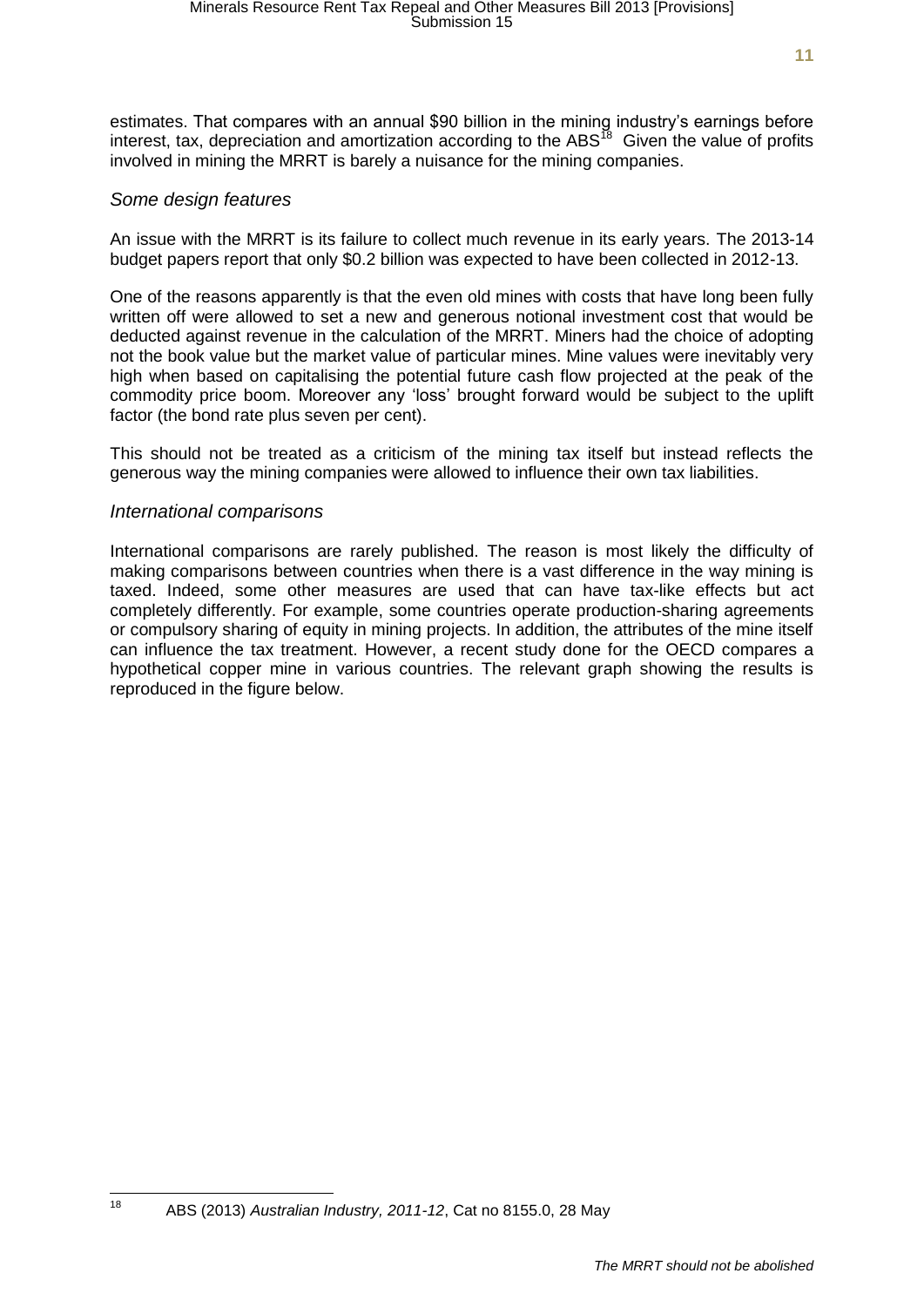estimates. That compares with an annual \$90 billion in the mining industry's earnings before interest, tax, depreciation and amortization according to the ABS<sup>18</sup> Given the value of profits involved in mining the MRRT is barely a nuisance for the mining companies.

#### *Some design features*

An issue with the MRRT is its failure to collect much revenue in its early years. The 2013-14 budget papers report that only \$0.2 billion was expected to have been collected in 2012-13.

One of the reasons apparently is that the even old mines with costs that have long been fully written off were allowed to set a new and generous notional investment cost that would be deducted against revenue in the calculation of the MRRT. Miners had the choice of adopting not the book value but the market value of particular mines. Mine values were inevitably very high when based on capitalising the potential future cash flow projected at the peak of the commodity price boom. Moreover any 'loss' brought forward would be subject to the uplift factor (the bond rate plus seven per cent).

This should not be treated as a criticism of the mining tax itself but instead reflects the generous way the mining companies were allowed to influence their own tax liabilities.

#### *International comparisons*

International comparisons are rarely published. The reason is most likely the difficulty of making comparisons between countries when there is a vast difference in the way mining is taxed. Indeed, some other measures are used that can have tax-like effects but act completely differently. For example, some countries operate production-sharing agreements or compulsory sharing of equity in mining projects. In addition, the attributes of the mine itself can influence the tax treatment. However, a recent study done for the OECD compares a hypothetical copper mine in various countries. The relevant graph showing the results is reproduced in the figure below.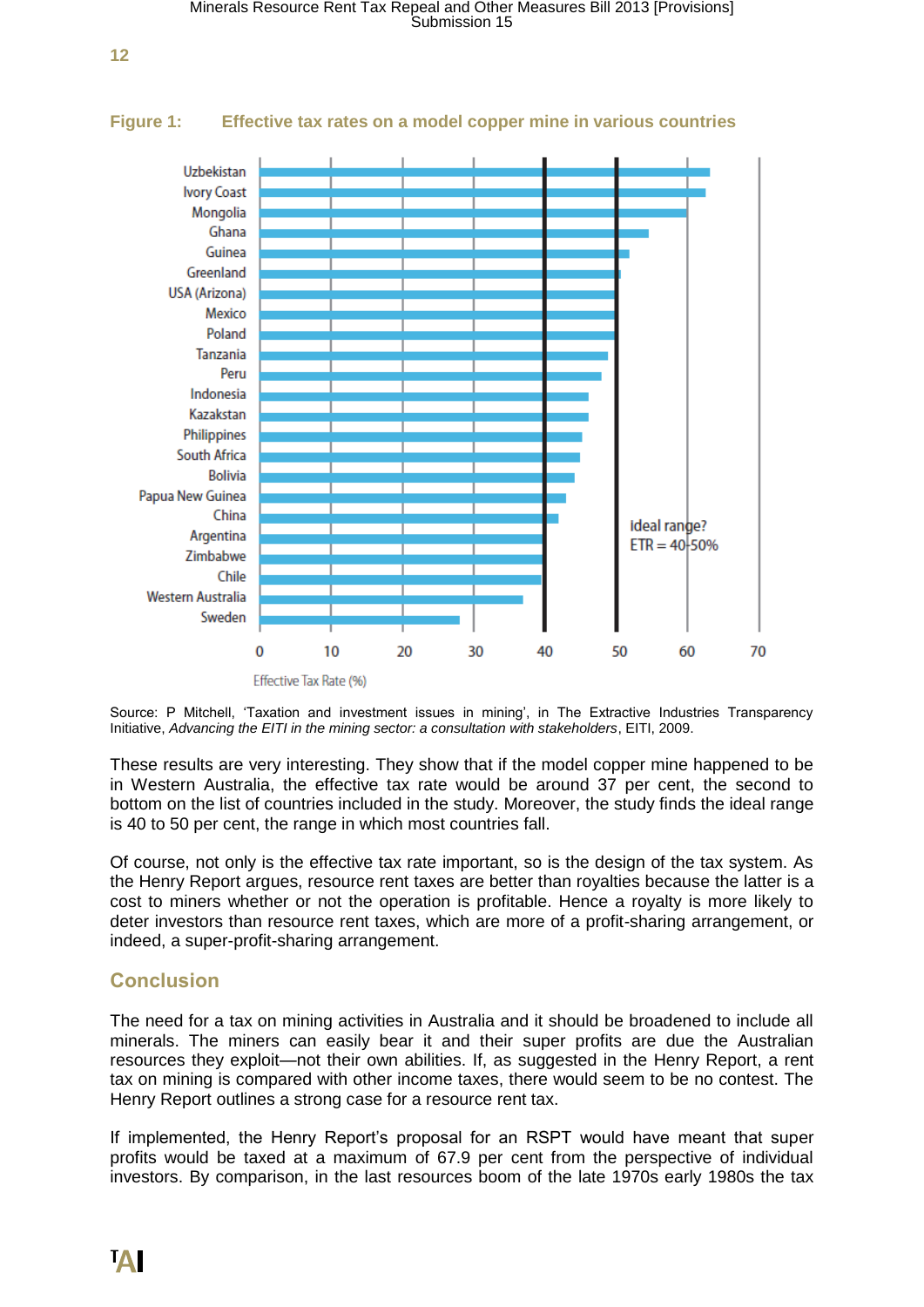

#### **Figure 1: Effective tax rates on a model copper mine in various countries**

Source: P Mitchell, 'Taxation and investment issues in mining', in The Extractive Industries Transparency Initiative, *Advancing the EITI in the mining sector: a consultation with stakeholders*, EITI, 2009.

These results are very interesting. They show that if the model copper mine happened to be in Western Australia, the effective tax rate would be around 37 per cent, the second to bottom on the list of countries included in the study. Moreover, the study finds the ideal range is 40 to 50 per cent, the range in which most countries fall.

Of course, not only is the effective tax rate important, so is the design of the tax system. As the Henry Report argues, resource rent taxes are better than royalties because the latter is a cost to miners whether or not the operation is profitable. Hence a royalty is more likely to deter investors than resource rent taxes, which are more of a profit-sharing arrangement, or indeed, a super-profit-sharing arrangement.

#### **Conclusion**

The need for a tax on mining activities in Australia and it should be broadened to include all minerals. The miners can easily bear it and their super profits are due the Australian resources they exploit—not their own abilities. If, as suggested in the Henry Report, a rent tax on mining is compared with other income taxes, there would seem to be no contest. The Henry Report outlines a strong case for a resource rent tax.

If implemented, the Henry Report's proposal for an RSPT would have meant that super profits would be taxed at a maximum of 67.9 per cent from the perspective of individual investors. By comparison, in the last resources boom of the late 1970s early 1980s the tax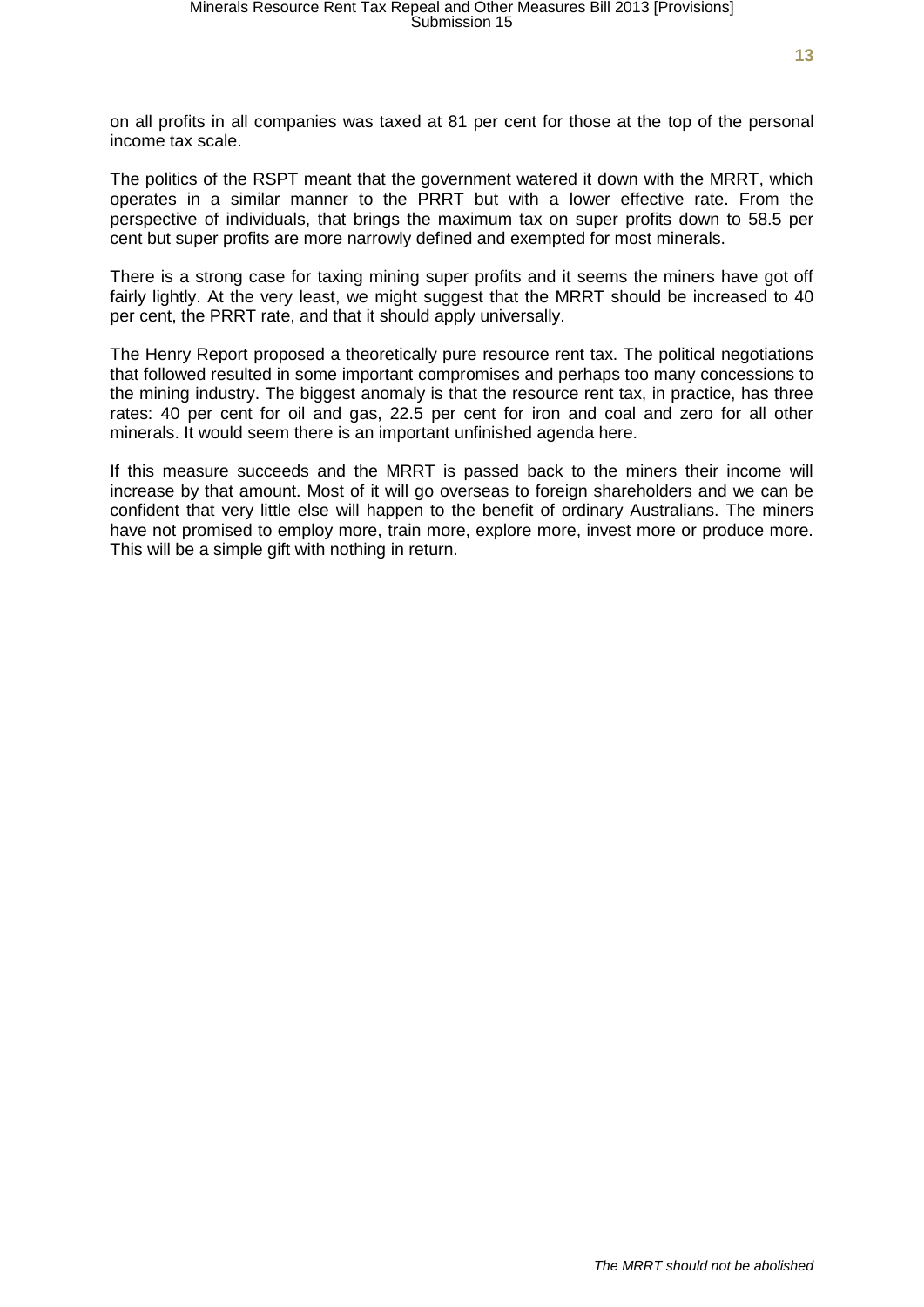on all profits in all companies was taxed at 81 per cent for those at the top of the personal income tax scale.

The politics of the RSPT meant that the government watered it down with the MRRT, which operates in a similar manner to the PRRT but with a lower effective rate. From the perspective of individuals, that brings the maximum tax on super profits down to 58.5 per cent but super profits are more narrowly defined and exempted for most minerals.

There is a strong case for taxing mining super profits and it seems the miners have got off fairly lightly. At the very least, we might suggest that the MRRT should be increased to 40 per cent, the PRRT rate, and that it should apply universally.

The Henry Report proposed a theoretically pure resource rent tax. The political negotiations that followed resulted in some important compromises and perhaps too many concessions to the mining industry. The biggest anomaly is that the resource rent tax, in practice, has three rates: 40 per cent for oil and gas, 22.5 per cent for iron and coal and zero for all other minerals. It would seem there is an important unfinished agenda here.

If this measure succeeds and the MRRT is passed back to the miners their income will increase by that amount. Most of it will go overseas to foreign shareholders and we can be confident that very little else will happen to the benefit of ordinary Australians. The miners have not promised to employ more, train more, explore more, invest more or produce more. This will be a simple gift with nothing in return.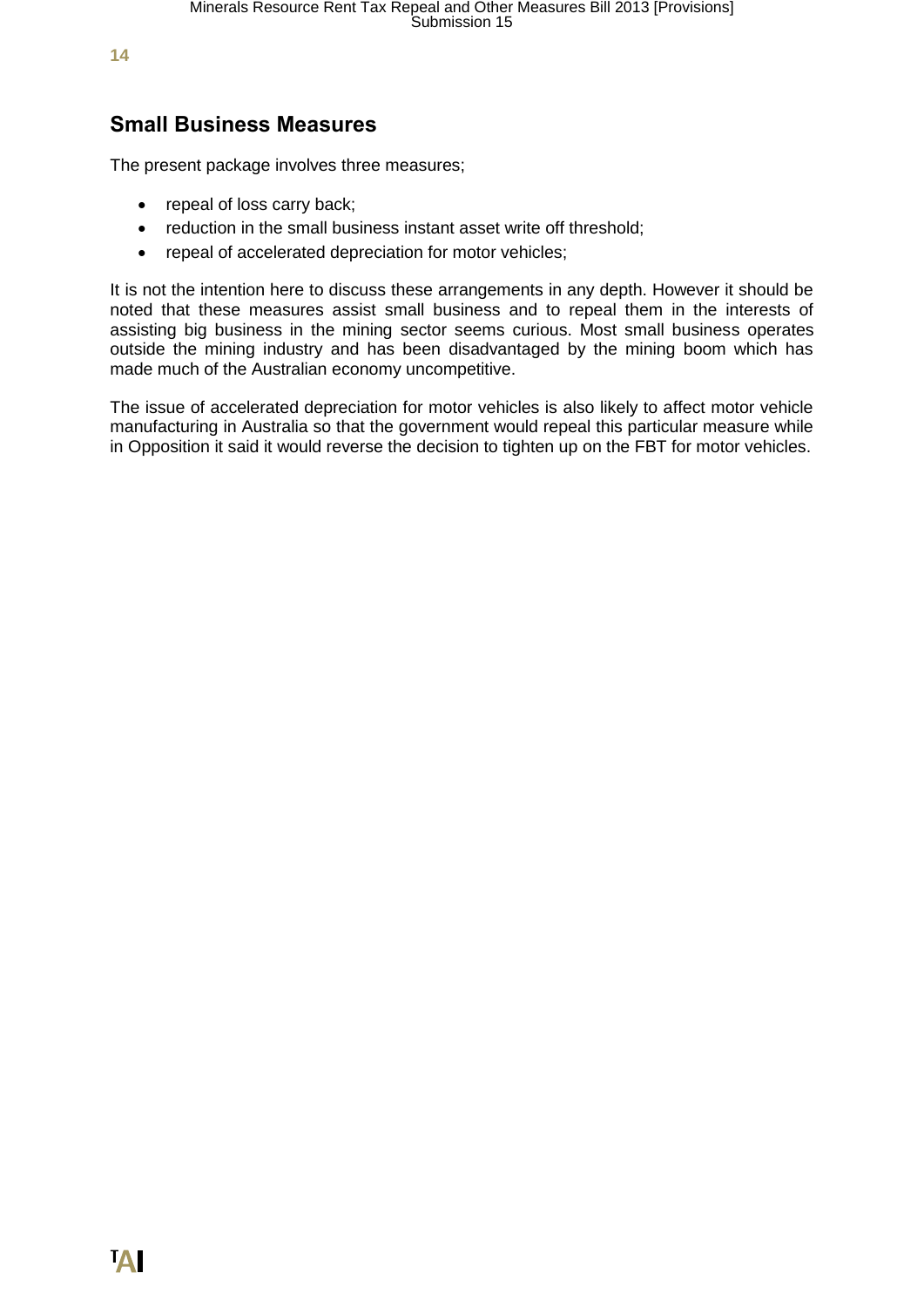# **Small Business Measures**

The present package involves three measures;

- repeal of loss carry back;
- reduction in the small business instant asset write off threshold;
- repeal of accelerated depreciation for motor vehicles;

It is not the intention here to discuss these arrangements in any depth. However it should be noted that these measures assist small business and to repeal them in the interests of assisting big business in the mining sector seems curious. Most small business operates outside the mining industry and has been disadvantaged by the mining boom which has made much of the Australian economy uncompetitive.

The issue of accelerated depreciation for motor vehicles is also likely to affect motor vehicle manufacturing in Australia so that the government would repeal this particular measure while in Opposition it said it would reverse the decision to tighten up on the FBT for motor vehicles.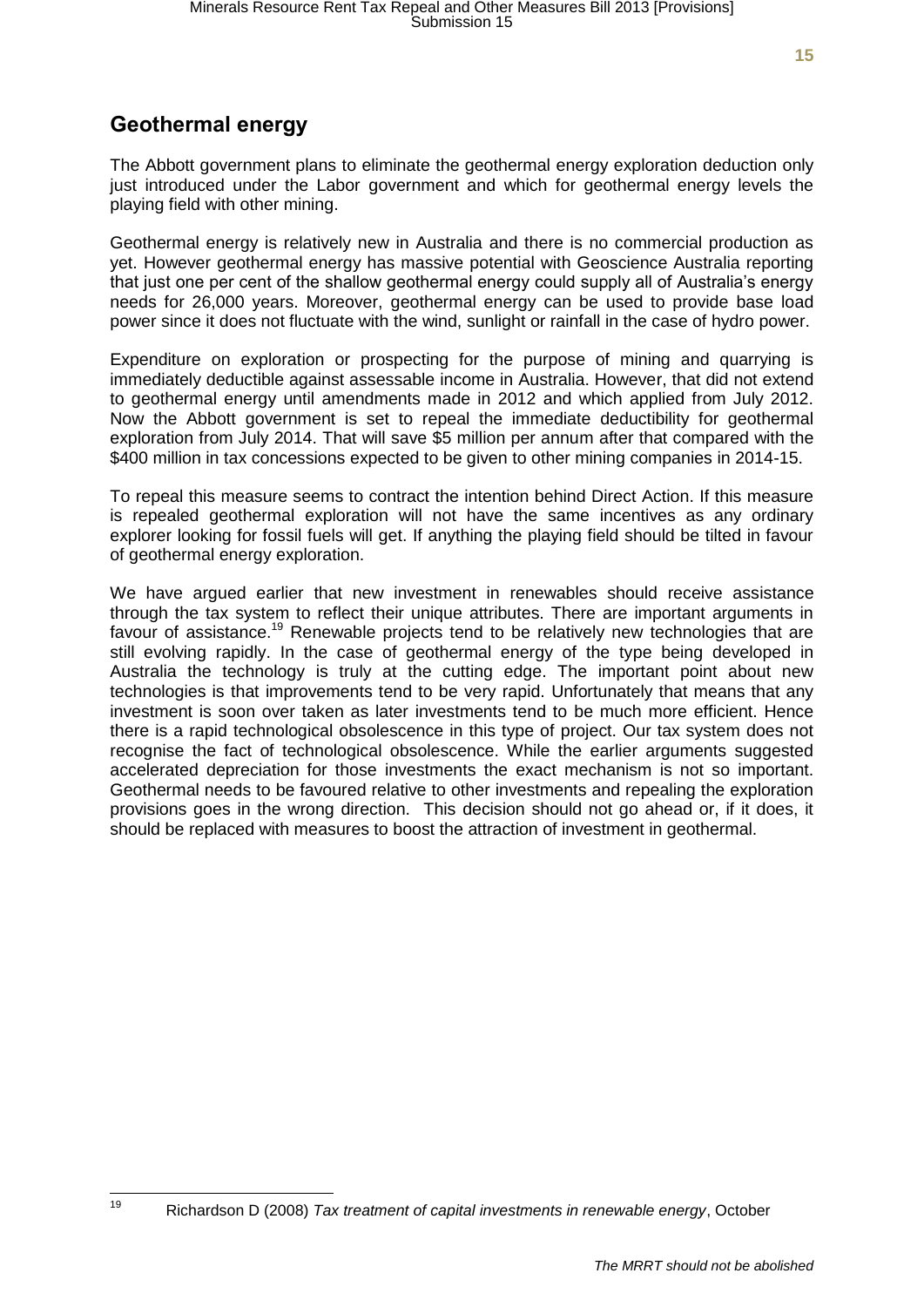# **Geothermal energy**

The Abbott government plans to eliminate the geothermal energy exploration deduction only just introduced under the Labor government and which for geothermal energy levels the playing field with other mining.

Geothermal energy is relatively new in Australia and there is no commercial production as yet. However geothermal energy has massive potential with Geoscience Australia reporting that just one per cent of the shallow geothermal energy could supply all of Australia's energy needs for 26,000 years. Moreover, geothermal energy can be used to provide base load power since it does not fluctuate with the wind, sunlight or rainfall in the case of hydro power.

Expenditure on exploration or prospecting for the purpose of mining and quarrying is immediately deductible against assessable income in Australia. However, that did not extend to geothermal energy until amendments made in 2012 and which applied from July 2012. Now the Abbott government is set to repeal the immediate deductibility for geothermal exploration from July 2014. That will save \$5 million per annum after that compared with the \$400 million in tax concessions expected to be given to other mining companies in 2014-15.

To repeal this measure seems to contract the intention behind Direct Action. If this measure is repealed geothermal exploration will not have the same incentives as any ordinary explorer looking for fossil fuels will get. If anything the playing field should be tilted in favour of geothermal energy exploration.

We have argued earlier that new investment in renewables should receive assistance through the tax system to reflect their unique attributes. There are important arguments in favour of assistance.<sup>19</sup> Renewable projects tend to be relatively new technologies that are still evolving rapidly. In the case of geothermal energy of the type being developed in Australia the technology is truly at the cutting edge. The important point about new technologies is that improvements tend to be very rapid. Unfortunately that means that any investment is soon over taken as later investments tend to be much more efficient. Hence there is a rapid technological obsolescence in this type of project. Our tax system does not recognise the fact of technological obsolescence. While the earlier arguments suggested accelerated depreciation for those investments the exact mechanism is not so important. Geothermal needs to be favoured relative to other investments and repealing the exploration provisions goes in the wrong direction. This decision should not go ahead or, if it does, it should be replaced with measures to boost the attraction of investment in geothermal.

 $19$ <sup>19</sup> Richardson D (2008) *Tax treatment of capital investments in renewable energy*, October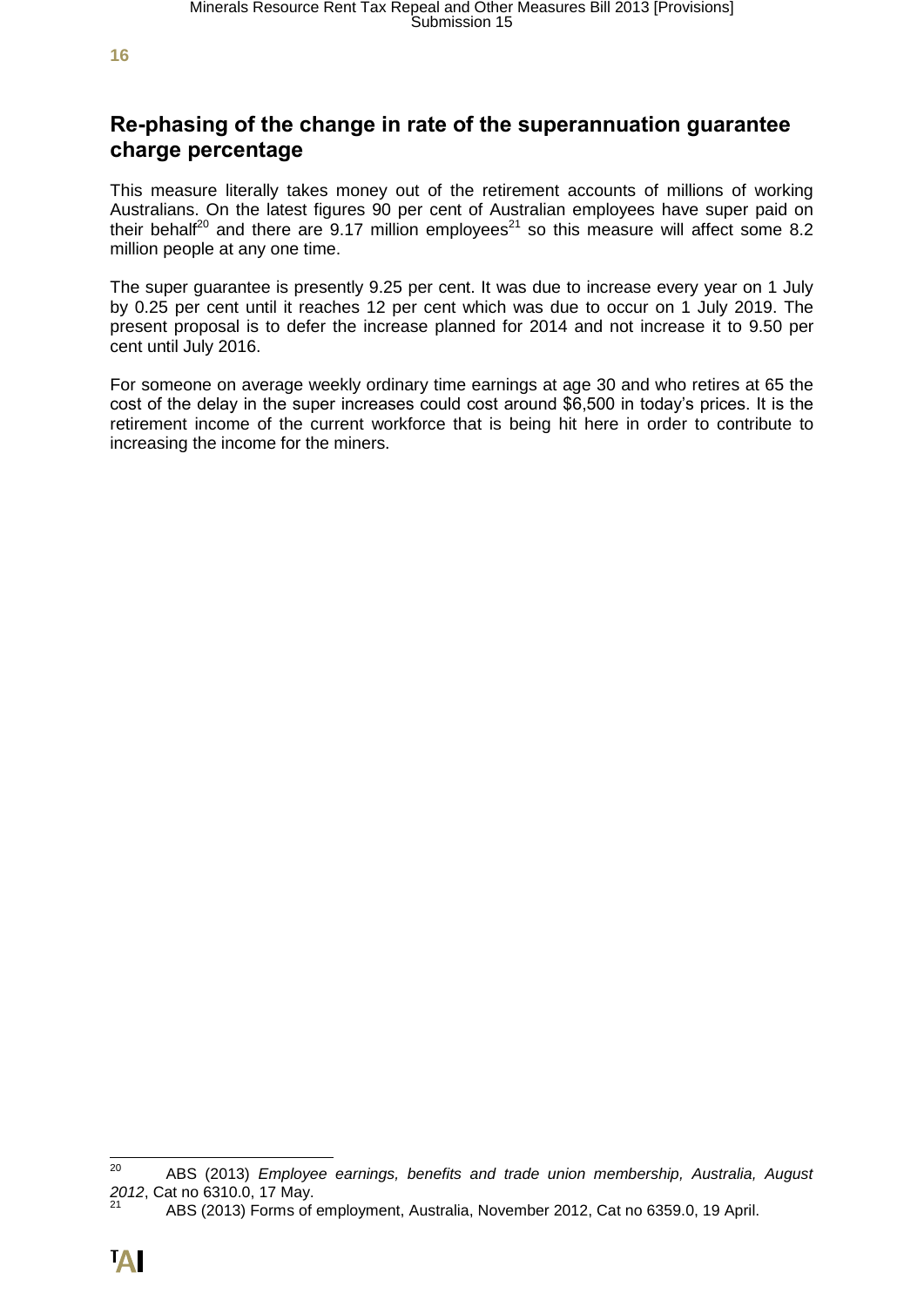# **Re-phasing of the change in rate of the superannuation guarantee charge percentage**

This measure literally takes money out of the retirement accounts of millions of working Australians. On the latest figures 90 per cent of Australian employees have super paid on their behalf<sup>20</sup> and there are 9.17 million employees<sup>21</sup> so this measure will affect some 8.2 million people at any one time.

The super guarantee is presently 9.25 per cent. It was due to increase every year on 1 July by 0.25 per cent until it reaches 12 per cent which was due to occur on 1 July 2019. The present proposal is to defer the increase planned for 2014 and not increase it to 9.50 per cent until July 2016.

For someone on average weekly ordinary time earnings at age 30 and who retires at 65 the cost of the delay in the super increases could cost around \$6,500 in today's prices. It is the retirement income of the current workforce that is being hit here in order to contribute to increasing the income for the miners.

<sup>20</sup> <sup>20</sup> ABS (2013) *Employee earnings, benefits and trade union membership, Australia, August 2012*, Cat no 6310.0, 17 May.

<sup>21</sup> ABS (2013) Forms of employment, Australia, November 2012, Cat no 6359.0, 19 April.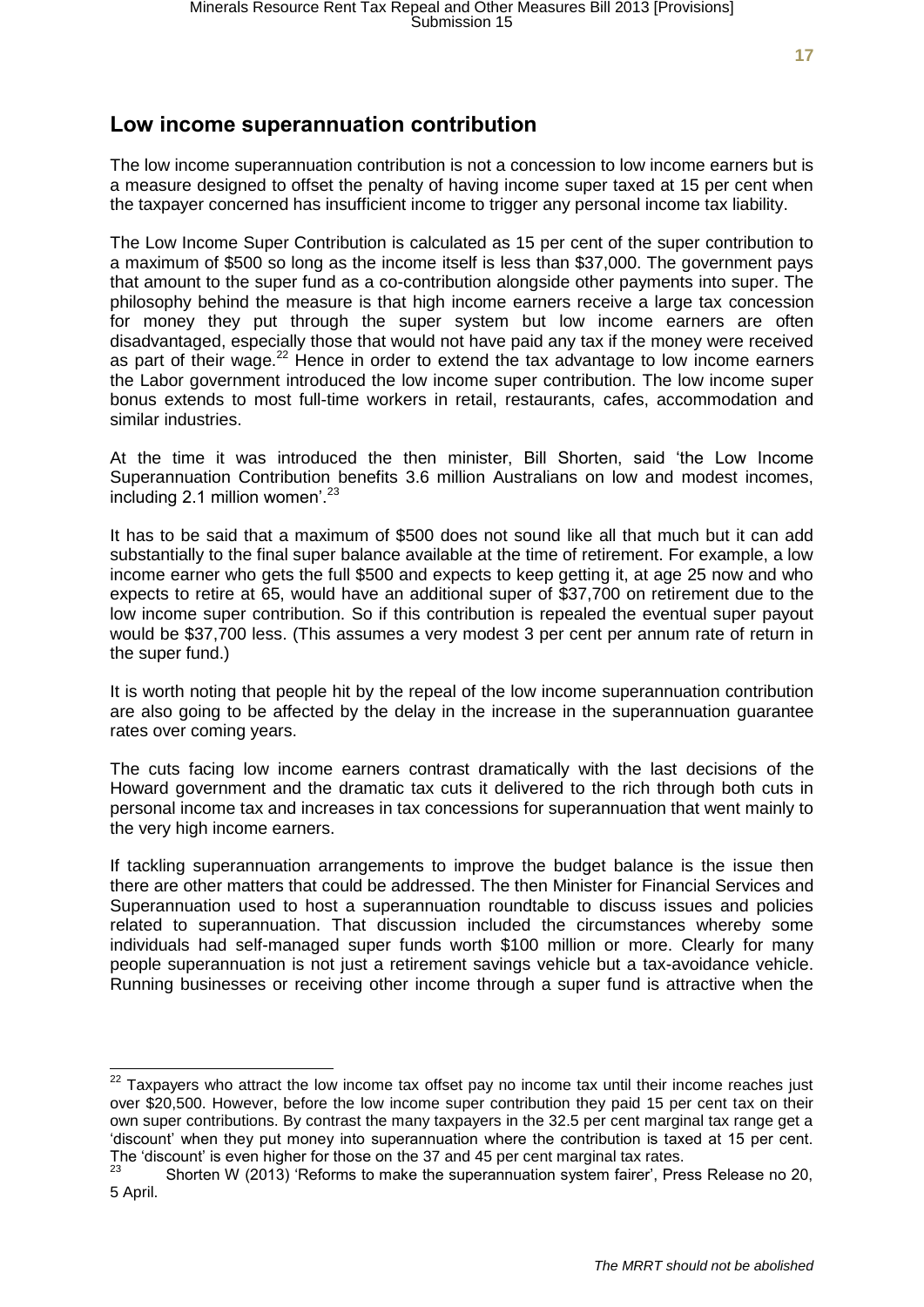# **Low income superannuation contribution**

The low income superannuation contribution is not a concession to low income earners but is a measure designed to offset the penalty of having income super taxed at 15 per cent when the taxpayer concerned has insufficient income to trigger any personal income tax liability.

The Low Income Super Contribution is calculated as 15 per cent of the super contribution to a maximum of \$500 so long as the income itself is less than \$37,000. The government pays that amount to the super fund as a co-contribution alongside other payments into super. The philosophy behind the measure is that high income earners receive a large tax concession for money they put through the super system but low income earners are often disadvantaged, especially those that would not have paid any tax if the money were received as part of their wage.<sup>22</sup> Hence in order to extend the tax advantage to low income earners the Labor government introduced the low income super contribution. The low income super bonus extends to most full-time workers in retail, restaurants, cafes, accommodation and similar industries.

At the time it was introduced the then minister, Bill Shorten, said 'the Low Income Superannuation Contribution benefits 3.6 million Australians on low and modest incomes, including 2.1 million women<sup>'.23</sup>

It has to be said that a maximum of \$500 does not sound like all that much but it can add substantially to the final super balance available at the time of retirement. For example, a low income earner who gets the full \$500 and expects to keep getting it, at age 25 now and who expects to retire at 65, would have an additional super of \$37,700 on retirement due to the low income super contribution. So if this contribution is repealed the eventual super payout would be \$37,700 less. (This assumes a very modest 3 per cent per annum rate of return in the super fund.)

It is worth noting that people hit by the repeal of the low income superannuation contribution are also going to be affected by the delay in the increase in the superannuation guarantee rates over coming years.

The cuts facing low income earners contrast dramatically with the last decisions of the Howard government and the dramatic tax cuts it delivered to the rich through both cuts in personal income tax and increases in tax concessions for superannuation that went mainly to the very high income earners.

If tackling superannuation arrangements to improve the budget balance is the issue then there are other matters that could be addressed. The then Minister for Financial Services and Superannuation used to host a superannuation roundtable to discuss issues and policies related to superannuation. That discussion included the circumstances whereby some individuals had self-managed super funds worth \$100 million or more. Clearly for many people superannuation is not just a retirement savings vehicle but a tax-avoidance vehicle. Running businesses or receiving other income through a super fund is attractive when the

 $22$  Taxpayers who attract the low income tax offset pay no income tax until their income reaches just over \$20,500. However, before the low income super contribution they paid 15 per cent tax on their own super contributions. By contrast the many taxpayers in the 32.5 per cent marginal tax range get a 'discount' when they put money into superannuation where the contribution is taxed at 15 per cent. The 'discount' is even higher for those on the 37 and 45 per cent marginal tax rates.<br><sup>23</sup> Charter W (2043) (Referred to make the supergravities surfaired Press)

Shorten W (2013) 'Reforms to make the superannuation system fairer', Press Release no 20, 5 April.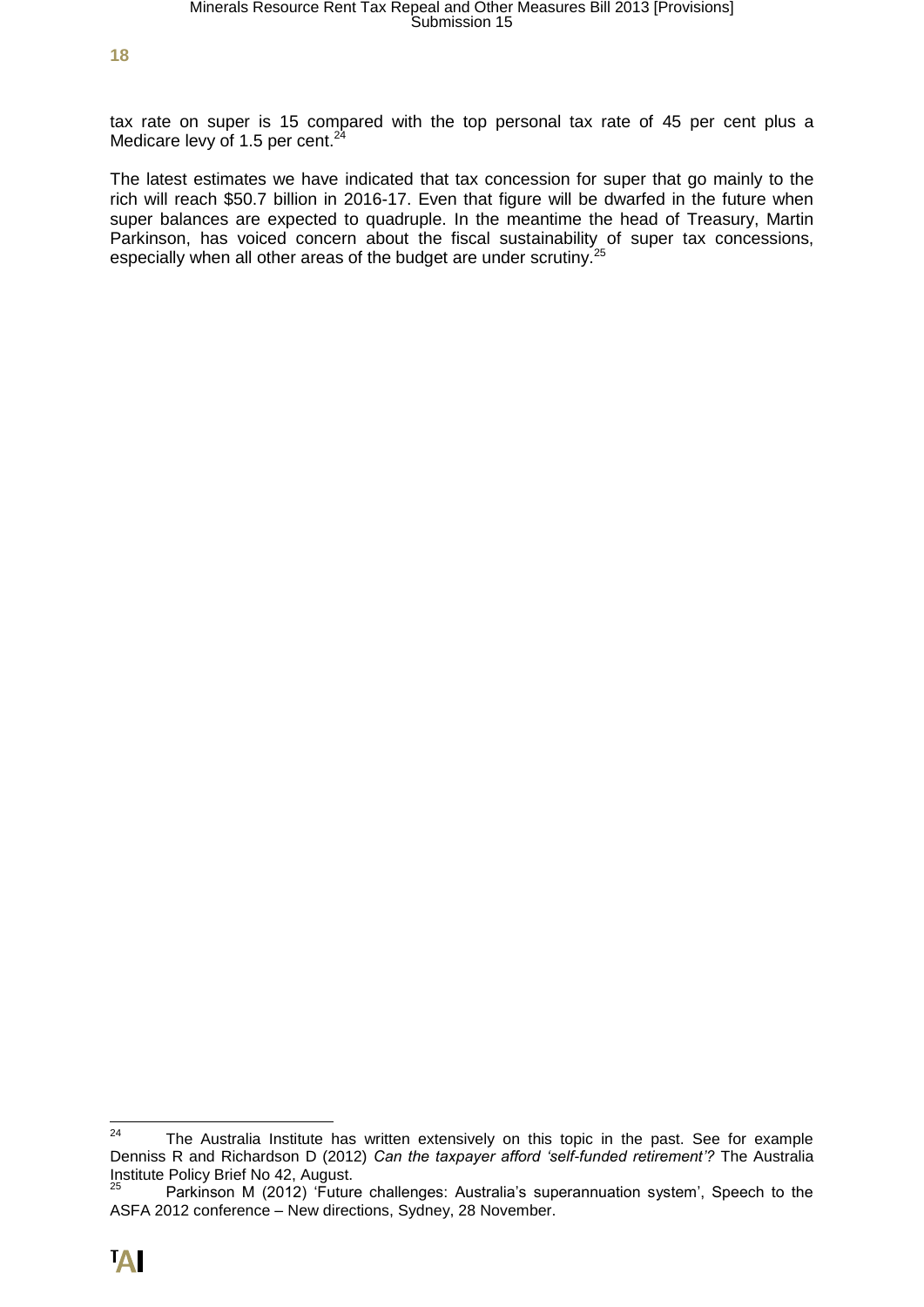tax rate on super is 15 compared with the top personal tax rate of 45 per cent plus a Medicare levy of 1.5 per cent. $24$ 

The latest estimates we have indicated that tax concession for super that go mainly to the rich will reach \$50.7 billion in 2016-17. Even that figure will be dwarfed in the future when super balances are expected to quadruple. In the meantime the head of Treasury, Martin Parkinson, has voiced concern about the fiscal sustainability of super tax concessions, especially when all other areas of the budget are under scrutiny.<sup>25</sup>

 $24$ The Australia Institute has written extensively on this topic in the past. See for example Denniss R and Richardson D (2012) *Can the taxpayer afford 'self-funded retirement'?* The Australia Institute Policy Brief No 42, August.

Parkinson M (2012) 'Future challenges: Australia's superannuation system', Speech to the ASFA 2012 conference – New directions, Sydney, 28 November.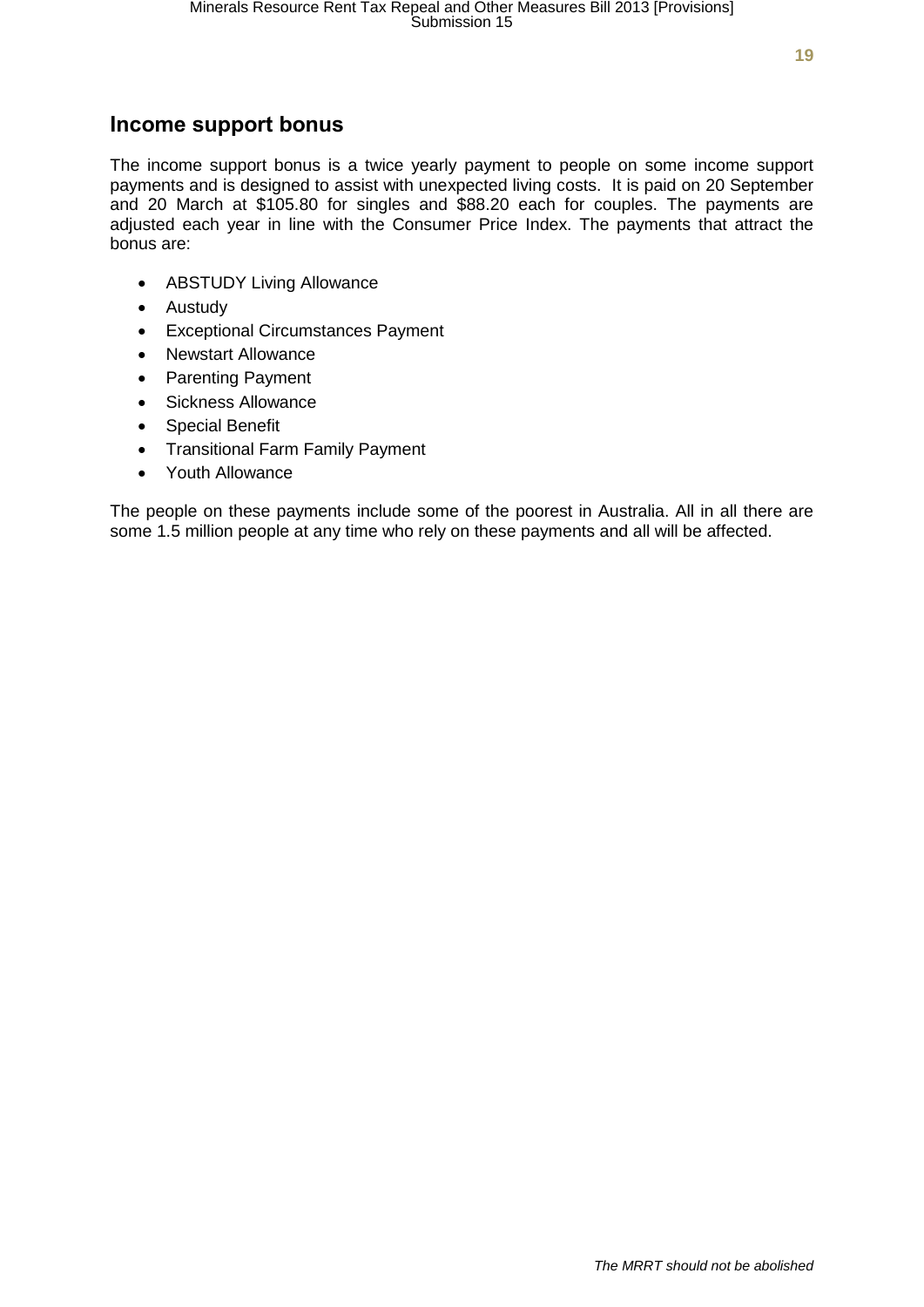### **Income support bonus**

The income support bonus is a twice yearly payment to people on some income support payments and is designed to assist with unexpected living costs. It is paid on 20 September and 20 March at \$105.80 for singles and \$88.20 each for couples. The payments are adjusted each year in line with the Consumer Price Index. The payments that attract the bonus are:

- ABSTUDY Living Allowance
- Austudy
- Exceptional Circumstances Payment
- Newstart Allowance
- Parenting Payment
- Sickness Allowance
- Special Benefit
- Transitional Farm Family Payment
- Youth Allowance

The people on these payments include some of the poorest in Australia. All in all there are some 1.5 million people at any time who rely on these payments and all will be affected.